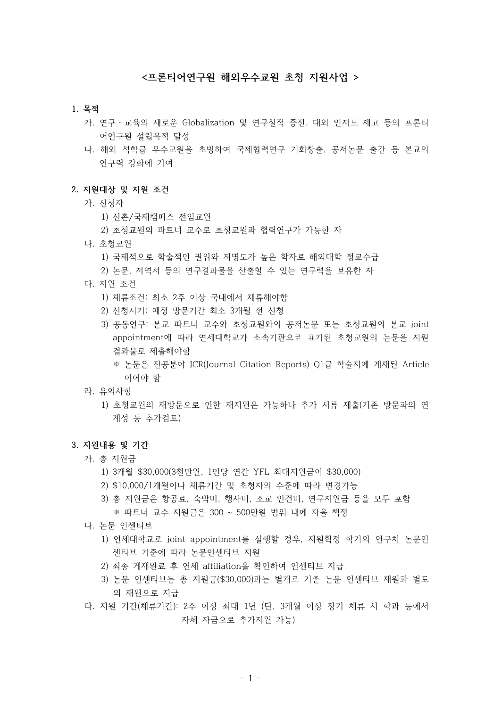### **<프론티어연구원 해외우수교원 초청 지원사업 >**

#### **1. 목적**

- 가. 연구・교육의 새로운 Globalization 및 연구실적 증진, 대외 인지도 제고 등의 프론티 어연구원 설립목적 달성
- 나. 해외 석학급 우수교원을 초빙하여 국제협력연구 기회창출, 공저논문 출간 등 본교의 연구력 강화에 기여

#### **2. 지원대상 및 지원 조건**

- 가. 신청자
	- 1) 신촌/국제캠퍼스 전임교원
	- 2) 초청교원의 파트너 교수로 초청교원과 협력연구가 가능한 자
- 나. 초청교원
	- 1) 국제적으로 학술적인 권위와 저명도가 높은 학자로 해외대학 정교수급
	- 2) 논문, 저역서 등의 연구결과물을 산출할 수 있는 연구력을 보유한 자
- 다. 지원 조건
	- 1) 체류조건: 최소 2주 이상 국내에서 체류해야함
	- 2) 신청시기: 예정 방문기간 최소 3개월 전 신청
	- 3) 공동연구: 본교 파트너 교수와 초청교원와의 공저논문 또는 초청교원의 본교 joint appointment에 따라 연세대학교가 소속기관으로 표기된 초청교원의 논문을 지원 결과물로 제출해야함
		- ※ 논문은 전공분야 JCR(Journal Citation Reports) Q1급 학술지에 게재된 Article 이어야 함
- 라. 유의사항
	- 1) 초청교원의 재방문으로 인한 재지원은 가능하나 추가 서류 제출(기존 방문과의 연 계성 등 추가검토)

#### **3. 지원내용 및 기간**

- 가. 총 지원금
	- 1) 3개월 \$30,000(3천만원, 1인당 연간 YFL 최대지원금이 \$30,000)
	- 2) \$10,000/1개월이나 체류기간 및 초청자의 수준에 따라 변경가능
	- 3) 총 지원금은 항공료, 숙박비, 행사비, 조교 인건비, 연구지원금 등을 모두 포함
	- ※ 파트너 교수 지원금은 300 ~ 500만원 범위 내에 자율 책정
- 나. 논문 인센티브
	- 1) 연세대학교로 joint appointment를 실행할 경우, 지원확정 학기의 연구처 논문인 센티브 기준에 따라 논문인센티브 지원
	- 2) 최종 게재완료 후 연세 affiliation을 확인하여 인센티브 지급
	- 3) 논문 인센티브는 총 지원금(\$30,000)과는 별개로 기존 논문 인센티브 재원과 별도 의 재원으로 지급
- 다. 지원 기간(체류기간): 2주 이상 최대 1년 (단, 3개월 이상 장기 체류 시 학과 등에서 자체 자금으로 추가지원 가능)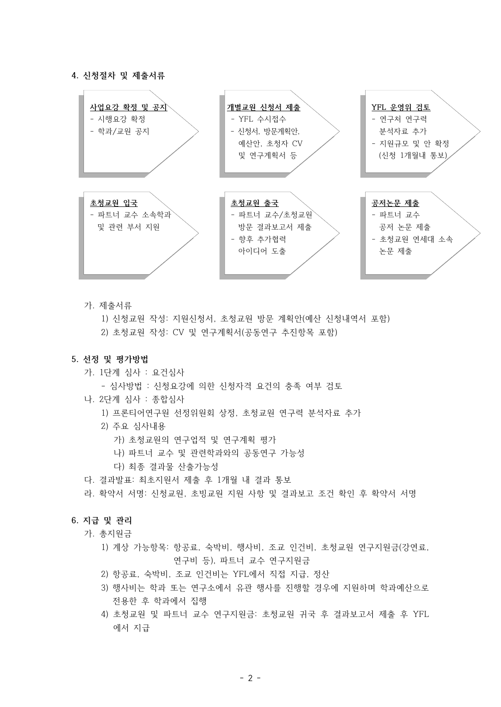#### **4. 신청절차 및 제출서류**



가. 제출서류

1) 신청교원 작성: 지원신청서, 초청교원 방문 계획안(예산 신청내역서 포함)

2) 초청교원 작성: CV 및 연구계획서(공동연구 추진항목 포함)

### **5. 선정 및 평가방법**

가. 1단계 심사 : 요건심사

- 심사방법 : 신청요강에 의한 신청자격 요건의 충족 여부 검토

- 나. 2단계 심사 : 종합심사
	- 1) 프론티어연구원 선정위원회 상정, 초청교원 연구력 분석자료 추가
	- 2) 주요 심사내용
		- 가) 초청교원의 연구업적 및 연구계획 평가
		- 나) 파트너 교수 및 관련학과와의 공동연구 가능성
		- 다) 최종 결과물 산출가능성
- 다. 결과발표: 최초지원서 제출 후 1개월 내 결과 통보
- 라. 확약서 서명: 신청교원, 초빙교원 지원 사항 및 결과보고 조건 확인 후 확약서 서명

### **6. 지급 및 관리**

- 가. 총지원금
	- 1) 계상 가능항목: 항공료, 숙박비, 행사비, 조교 인건비, 초청교원 연구지원금(강연료, 연구비 등), 파트너 교수 연구지원금
	- 2) 항공료, 숙박비, 조교 인건비는 YFL에서 직접 지급, 정산
	- 3) 행사비는 학과 또는 연구소에서 유관 행사를 진행할 경우에 지원하며 학과예산으로 전용한 후 학과에서 집행
	- 4) 초청교원 및 파트너 교수 연구지원금: 초청교원 귀국 후 결과보고서 제출 후 YFL 에서 지급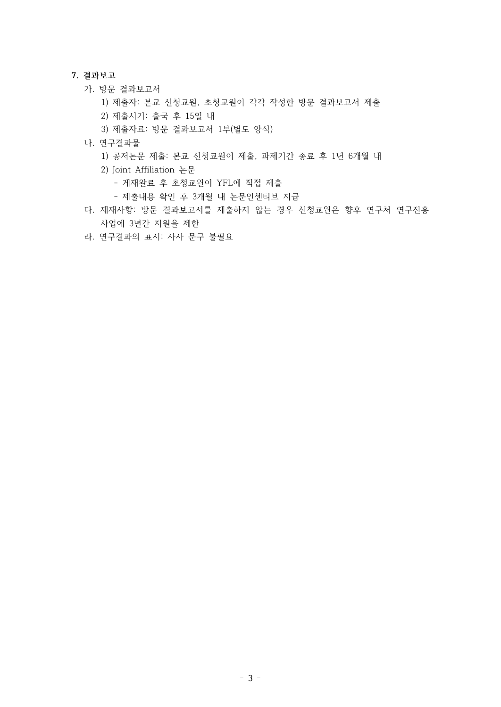#### **7. 결과보고**

- 가. 방문 결과보고서
	- 1) 제출자: 본교 신청교원, 초청교원이 각각 작성한 방문 결과보고서 제출
	- 2) 제출시기: 출국 후 15일 내
	- 3) 제출자료: 방문 결과보고서 1부(별도 양식)
- 나. 연구결과물
	- 1) 공저논문 제출: 본교 신청교원이 제출, 과제기간 종료 후 1년 6개월 내
	- 2) Joint Affiliation 논문
		- 게재완료 후 초청교원이 YFL에 직접 제출
		- 제출내용 확인 후 3개월 내 논문인센티브 지급
- 다. 제재사항: 방문 결과보고서를 제출하지 않는 경우 신청교원은 향후 연구처 연구진흥 사업에 3년간 지원을 제한
- 라. 연구결과의 표시: 사사 문구 불필요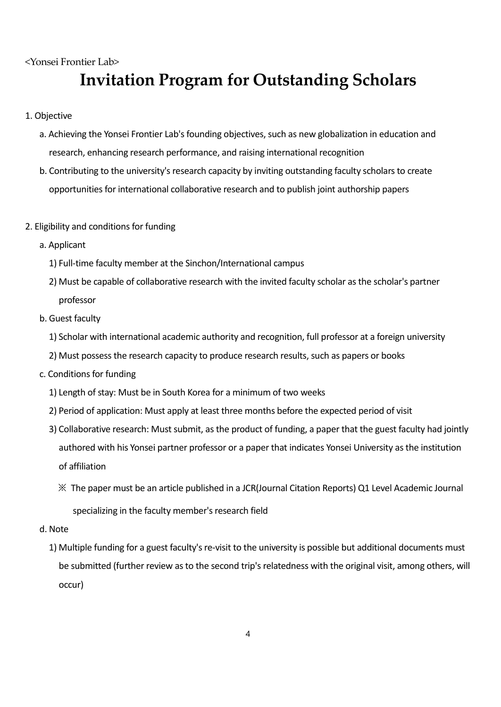<Yonsei Frontier Lab>

# **Invitation Program for Outstanding Scholars**

- 1. Objective
	- a. Achieving the Yonsei Frontier Lab's founding objectives, such as new globalization in education and research, enhancing research performance, and raising international recognition
	- b. Contributing to the university's research capacity by inviting outstanding faculty scholars to create opportunities for international collaborative research and to publish joint authorship papers
- 2. Eligibility and conditions for funding
	- a. Applicant
		- 1) Full-time faculty member at the Sinchon/International campus
		- 2) Must be capable of collaborative research with the invited faculty scholar as the scholar's partner professor
	- b. Guest faculty
		- 1) Scholar with international academic authority and recognition, full professor at a foreign university
		- 2) Must possess the research capacity to produce research results, such as papers or books
	- c. Conditions for funding
		- 1) Length of stay: Must be in South Korea for a minimum of two weeks
		- 2) Period of application: Must apply at least three months before the expected period of visit
		- 3) Collaborative research: Must submit, as the product of funding, a paper that the guest faculty had jointly authored with his Yonsei partner professor or a paper that indicates Yonsei University as the institution of affiliation
			- ※ The paper must be an article published in a JCR(Journal Citation Reports) Q1 Level Academic Journal specializing in the faculty member's research field
	- d. Note
		- 1) Multiple funding for a guest faculty's re-visit to the university is possible but additional documents must be submitted (further review as to the second trip's relatedness with the original visit, among others, will occur)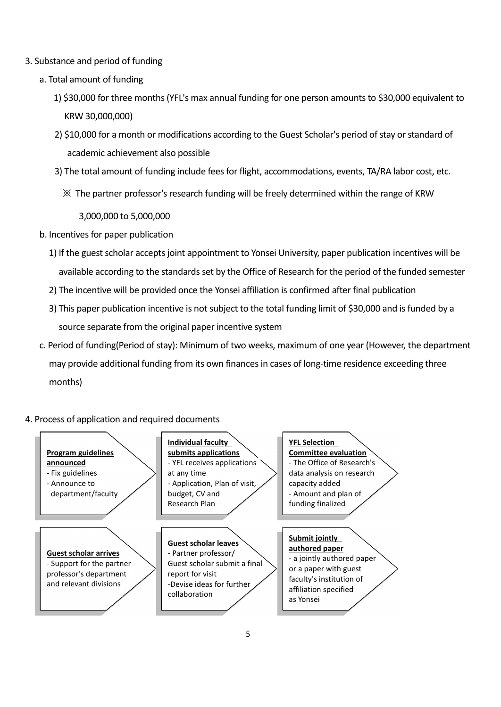- 3. Substance and period of funding
	- a. Total amount of funding
		- 1) \$30,000 for three months (YFL's max annual funding for one person amounts to \$30,000 equivalent to KRW 30,000,000)
		- 2) \$10,000 for a month or modifications according to the Guest Scholar's period of stay or standard of academic achievement also possible
		- 3) The total amount of funding include fees for flight, accommodations, events, TA/RA labor cost, etc.
			- $\%$  The partner professor's research funding will be freely determined within the range of KRW

3,000,000 to 5,000,000

- b. Incentives for paper publication
	- 1) If the guest scholar accepts joint appointment to Yonsei University, paper publication incentives will be available according to the standards set by the Office of Research for the period of the funded semester
	- 2) The incentive will be provided once the Yonsei affiliation is confirmed after final publication
	- 3) This paper publication incentive is not subject to the total funding limit of \$30,000 and is funded by a source separate from the original paper incentive system
- c. Period of funding(Period of stay): Minimum of two weeks, maximum of one year (However, the department may provide additional funding from its own finances in cases of long-time residence exceeding three months)

4. Process of application and required documents

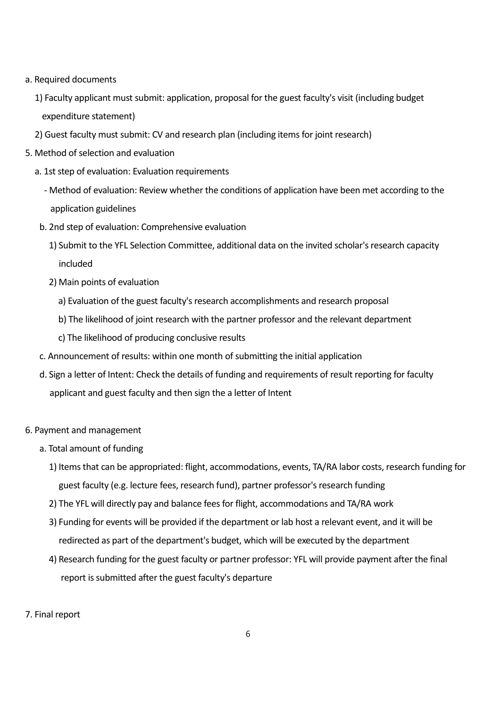- a. Required documents
	- 1) Faculty applicant must submit: application, proposal for the guest faculty's visit (including budget expenditure statement)
	- 2) Guest faculty must submit: CV and research plan (including items for joint research)
- 5. Method of selection and evaluation
	- a. 1st step of evaluation: Evaluation requirements
		- Method of evaluation: Review whether the conditions of application have been met according to the application guidelines
	- b. 2nd step of evaluation: Comprehensive evaluation
		- 1) Submit to the YFL Selection Committee, additional data on the invited scholar's research capacity included
		- 2) Main points of evaluation
			- a) Evaluation of the guest faculty's research accomplishments and research proposal
			- b) The likelihood of joint research with the partner professor and the relevant department
			- c) The likelihood of producing conclusive results
	- c. Announcement of results: within one month of submitting the initial application
	- d. Sign a letter of Intent: Check the details of funding and requirements of result reporting for faculty applicant and guest faculty and then sign the a letter of Intent
- 6. Payment and management
	- a. Total amount of funding
		- 1) Items that can be appropriated: flight, accommodations, events, TA/RA labor costs, research funding for guest faculty (e.g. lecture fees, research fund), partner professor's research funding
		- 2) The YFL will directly pay and balance fees for flight, accommodations and TA/RA work
		- 3) Funding for events will be provided if the department or lab host a relevant event, and it will be redirected as part of the department's budget, which will be executed by the department
		- 4) Research funding for the guest faculty or partner professor: YFL will provide payment after the final report is submitted after the guest faculty's departure
- 7. Final report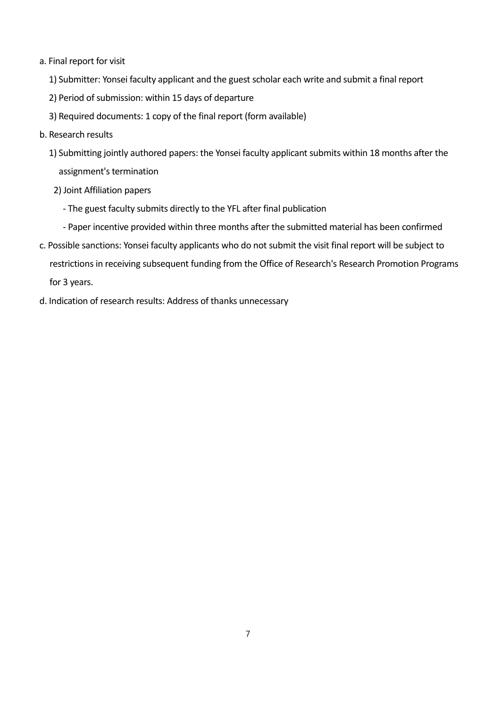- a. Final report for visit
	- 1) Submitter: Yonsei faculty applicant and the guest scholar each write and submit a final report
	- 2) Period of submission: within 15 days of departure
	- 3) Required documents: 1 copy of the final report (form available)
- b. Research results
	- 1) Submitting jointly authored papers: the Yonsei faculty applicant submits within 18 months after the assignment's termination
	- 2) Joint Affiliation papers
		- The guest faculty submits directly to the YFL after final publication
		- Paper incentive provided within three months after the submitted material has been confirmed
- c. Possible sanctions: Yonsei faculty applicants who do not submit the visit final report will be subject to restrictions in receiving subsequent funding from the Office of Research's Research Promotion Programs for 3 years.
- d. Indication of research results: Address of thanks unnecessary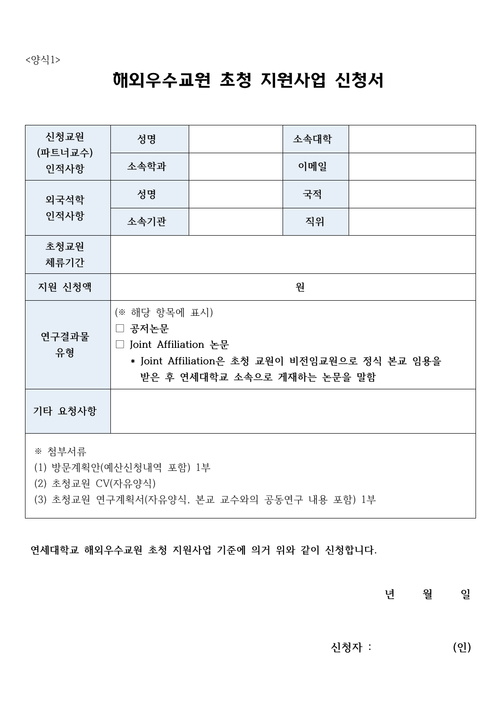# 해외우수교원 초청 지원사업 신청서

| 신청교원<br>(파트너교수)<br>인적사항                                                                               | 성명                                                                                                                                |  | 소속대학 |  |
|-------------------------------------------------------------------------------------------------------|-----------------------------------------------------------------------------------------------------------------------------------|--|------|--|
|                                                                                                       | 소속학과                                                                                                                              |  | 이메일  |  |
| 외국석학                                                                                                  | 성명                                                                                                                                |  | 국적   |  |
| 인적사항                                                                                                  | 소속기관                                                                                                                              |  | 직위   |  |
| 초청교원<br>체류기간                                                                                          |                                                                                                                                   |  |      |  |
| 지원 신청액                                                                                                | 원                                                                                                                                 |  |      |  |
| 연구결과물<br>유형                                                                                           | (※ 해당 항목에 표시)<br>□ 공저논문<br>□ Joint Affiliation 논문<br>* Joint Affiliation은 초청 교원이 비전임교원으로 정식 본교 임용을<br>받은 후 연세대학교 소속으로 게재하는 논문을 말함 |  |      |  |
| 기타 요청사항                                                                                               |                                                                                                                                   |  |      |  |
| ※ 첨부서류<br>(1) 방문계획안(예산신청내역 포함) 1부<br>(2) 초청교원 CV(자유양식)<br>(3) 초청교원 연구계획서(자유양식, 본교 교수와의 공동연구 내용 포함) 1부 |                                                                                                                                   |  |      |  |

**연세대학교 해외우수교원 초청 지원사업 기준에 의거 위와 같이 신청합니다.**

**년 월 일**

 **신청자 : (인)**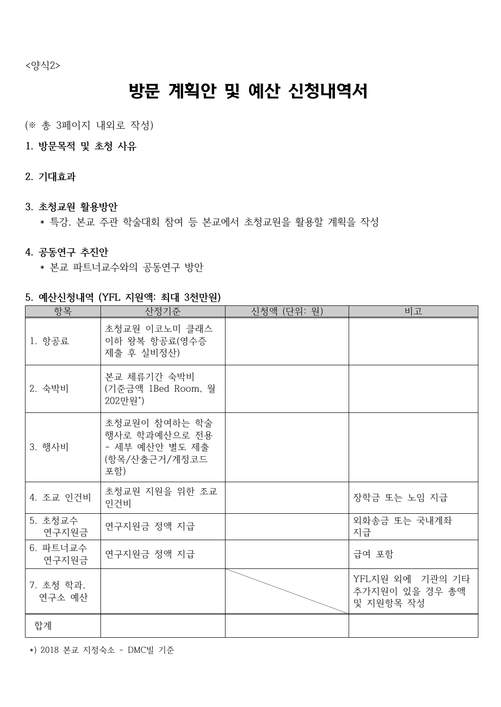<양식2>

# 방문 계획안 및 예산 신청내역서

(※ 총 3페이지 내외로 작성)

- **1. 방문목적 및 초청 사유**
- **2. 기대효과**
- **3. 초청교원 활용방안**
	- \* 특강, 본교 주관 학술대회 참여 등 본교에서 초청교원을 활용할 계획을 작성
- **4. 공동연구 추진안**
	- \* 본교 파트너교수와의 공동연구 방안
- **5. 예산신청내역 (YFL 지원액: 최대 3천만원)**

| 항목                  | 산정기준                                                                     | 신청액 (단위: 원) | 비고                                             |
|---------------------|--------------------------------------------------------------------------|-------------|------------------------------------------------|
| 1. 항공료              | 초청교원 이코노미 클래스<br>이하 왕복 항공료(영수증<br>제출 후 실비정산)                             |             |                                                |
| 2. 숙박비              | 본교 체류기간 숙박비<br>(기준금액 1Bed Room, 월<br>202만원*)                             |             |                                                |
| 3. 행사비              | 초청교원이 참여하는 학술<br>행사로 학과예산으로 전용<br>- 세부 예산안 별도 제출<br>(항목/산출근거/계정코드<br>포함) |             |                                                |
| 4. 조교 인건비           | 초청교원 지원을 위한 조교<br>인건비                                                    |             | 장학금 또는 노임 지급                                   |
| 5. 초청교수<br>연구지원금    | 연구지원금 정액 지급                                                              |             | 외화송금 또는 국내계좌<br>지급                             |
| 6. 파트너교수<br>연구지원금   | 연구지원금 정액 지급                                                              |             | 급여 포함                                          |
| 7. 초청 학과,<br>연구소 예산 |                                                                          |             | YFL지원 외에 기관의 기타<br>추가지원이 있을 경우 총액<br>및 지원항목 작성 |
| 합계                  |                                                                          |             |                                                |

\*) 2018 본교 지정숙소 - DMC빌 기준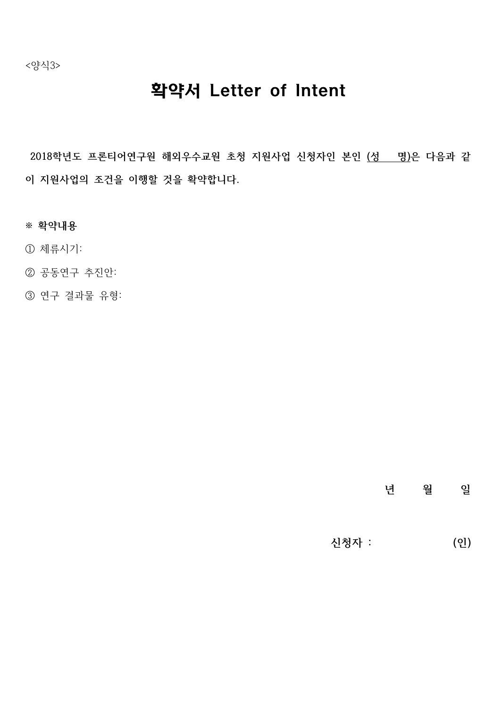<양식3>

# 확약서 Letter of Intent

**2018학년도 프론티어연구원 해외우수교원 초청 지원사업 신청자인 본인 (성 명)은 다음과 같 이 지원사업의 조건을 이행할 것을 확약합니다.**

- **※ 확약내용**
- ① 체류시기:
- ② 공동연구 추진안:
- ③ 연구 결과물 유형:

## **년 월 일**

 **신청자 : (인)**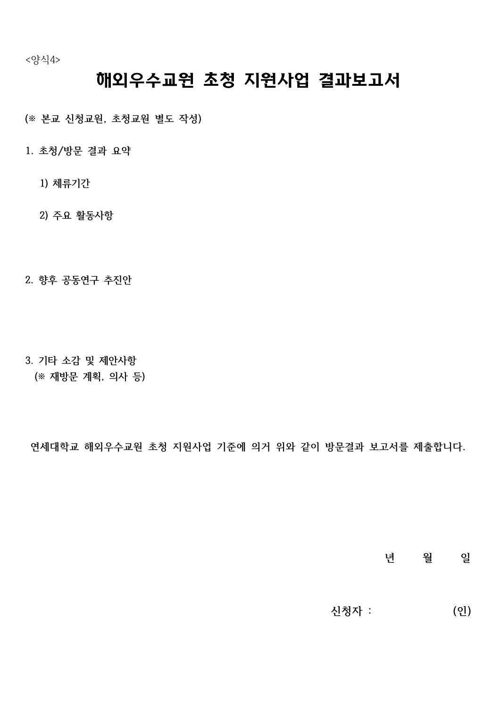<양식4>

# 해외우수교원 초청 지원사업 결과보고서

**(※ 본교 신청교원, 초청교원 별도 작성)**

- **1. 초청/방문 결과 요약**
	- **1) 체류기간**
	- **2) 주요 활동사항**
- **2. 향후 공동연구 추진안**
- **3. 기타 소감 및 제안사항 (※ 재방문 계획, 의사 등)**

**연세대학교 해외우수교원 초청 지원사업 기준에 의거 위와 같이 방문결과 보고서를 제출합니다.**

**년 월 일**

 **신청자 : (인)**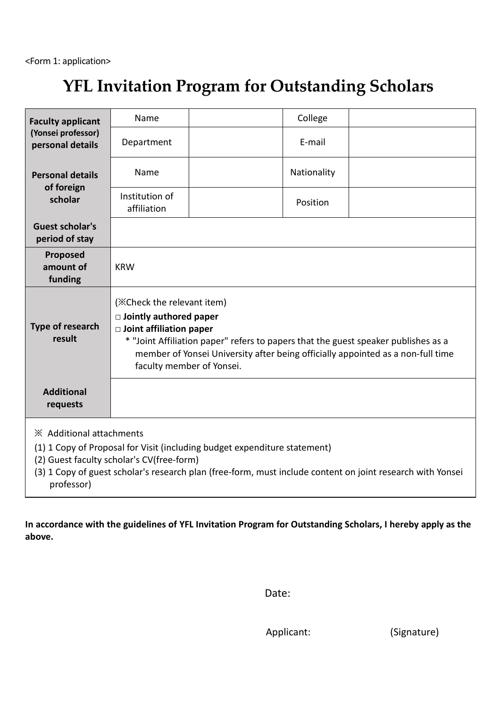# **YFL Invitation Program for Outstanding Scholars**

| <b>Faculty applicant</b><br>(Yonsei professor)<br>personal details                                                                                                                                                                                                             | Name                                                                                                                                                                                                                                                                                                |  | College     |  |
|--------------------------------------------------------------------------------------------------------------------------------------------------------------------------------------------------------------------------------------------------------------------------------|-----------------------------------------------------------------------------------------------------------------------------------------------------------------------------------------------------------------------------------------------------------------------------------------------------|--|-------------|--|
|                                                                                                                                                                                                                                                                                | Department                                                                                                                                                                                                                                                                                          |  | E-mail      |  |
| <b>Personal details</b><br>of foreign<br>scholar                                                                                                                                                                                                                               | Name                                                                                                                                                                                                                                                                                                |  | Nationality |  |
|                                                                                                                                                                                                                                                                                | Institution of<br>affiliation                                                                                                                                                                                                                                                                       |  | Position    |  |
| <b>Guest scholar's</b><br>period of stay                                                                                                                                                                                                                                       |                                                                                                                                                                                                                                                                                                     |  |             |  |
| Proposed<br>amount of<br>funding                                                                                                                                                                                                                                               | <b>KRW</b>                                                                                                                                                                                                                                                                                          |  |             |  |
| Type of research<br>result                                                                                                                                                                                                                                                     | (XCheck the relevant item)<br>$\Box$ Jointly authored paper<br>$\Box$ Joint affiliation paper<br>* "Joint Affiliation paper" refers to papers that the guest speaker publishes as a<br>member of Yonsei University after being officially appointed as a non-full time<br>faculty member of Yonsei. |  |             |  |
| <b>Additional</b><br>requests                                                                                                                                                                                                                                                  |                                                                                                                                                                                                                                                                                                     |  |             |  |
| * Additional attachments<br>(1) 1 Copy of Proposal for Visit (including budget expenditure statement)<br>(2) Guest faculty scholar's CV(free-form)<br>(3) 1 Copy of guest scholar's research plan (free-form, must include content on joint research with Yonsei<br>professor) |                                                                                                                                                                                                                                                                                                     |  |             |  |

**In accordance with the guidelines of YFL Invitation Program for Outstanding Scholars, I hereby apply as the above.**

Date: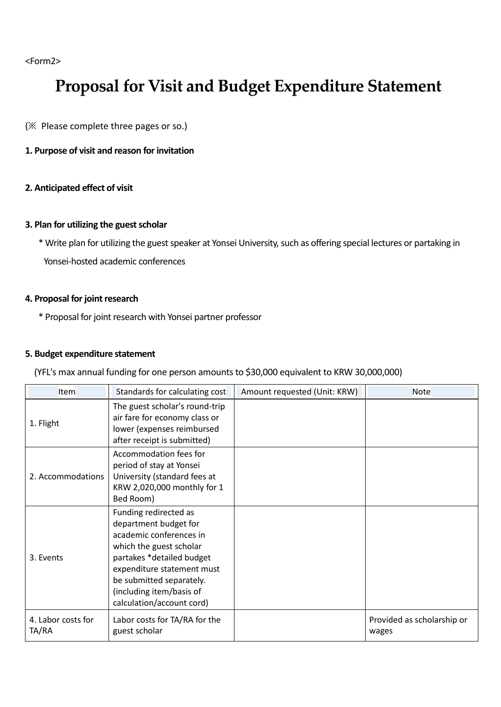<Form2>

# **Proposal for Visit and Budget Expenditure Statement**

(※ Please complete three pages or so.)

## **1. Purpose of visit and reason for invitation**

## **2. Anticipated effect of visit**

## **3. Plan for utilizing the guest scholar**

\* Write plan for utilizing the guest speaker at Yonsei University, such as offering special lectures or partaking in Yonsei-hosted academic conferences

## **4. Proposal for joint research**

\* Proposal for joint research with Yonsei partner professor

## **5. Budget expenditure statement**

(YFL's max annual funding for one person amounts to \$30,000 equivalent to KRW 30,000,000)

| <b>Item</b>                 | Standards for calculating cost                                                                                                                                                                                                                       | Amount requested (Unit: KRW) | <b>Note</b>                         |
|-----------------------------|------------------------------------------------------------------------------------------------------------------------------------------------------------------------------------------------------------------------------------------------------|------------------------------|-------------------------------------|
| 1. Flight                   | The guest scholar's round-trip<br>air fare for economy class or<br>lower (expenses reimbursed<br>after receipt is submitted)                                                                                                                         |                              |                                     |
| 2. Accommodations           | Accommodation fees for<br>period of stay at Yonsei<br>University (standard fees at<br>KRW 2,020,000 monthly for 1<br>Bed Room)                                                                                                                       |                              |                                     |
| 3. Events                   | Funding redirected as<br>department budget for<br>academic conferences in<br>which the guest scholar<br>partakes *detailed budget<br>expenditure statement must<br>be submitted separately.<br>(including item/basis of<br>calculation/account cord) |                              |                                     |
| 4. Labor costs for<br>TA/RA | Labor costs for TA/RA for the<br>guest scholar                                                                                                                                                                                                       |                              | Provided as scholarship or<br>wages |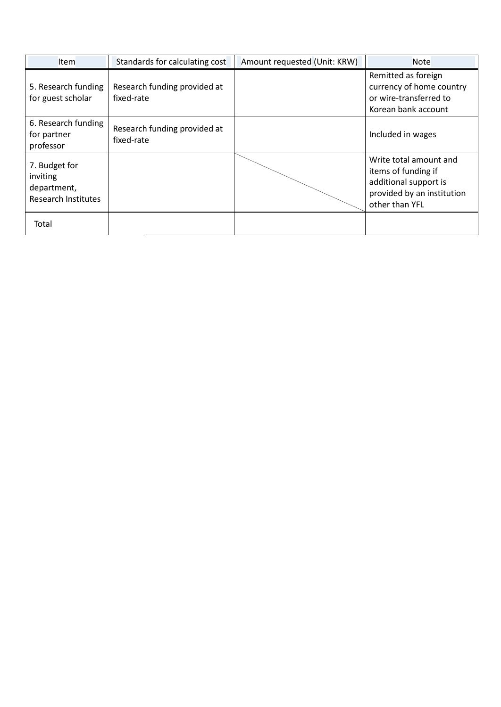| <b>Item</b>                                                            | Standards for calculating cost             | Amount requested (Unit: KRW) | <b>Note</b>                                                                                                            |
|------------------------------------------------------------------------|--------------------------------------------|------------------------------|------------------------------------------------------------------------------------------------------------------------|
| 5. Research funding<br>for guest scholar                               | Research funding provided at<br>fixed-rate |                              | Remitted as foreign<br>currency of home country<br>or wire-transferred to<br>Korean bank account                       |
| 6. Research funding<br>for partner<br>professor                        | Research funding provided at<br>fixed-rate |                              | Included in wages                                                                                                      |
| 7. Budget for<br>inviting<br>department,<br><b>Research Institutes</b> |                                            |                              | Write total amount and<br>items of funding if<br>additional support is<br>provided by an institution<br>other than YFL |
| Total                                                                  |                                            |                              |                                                                                                                        |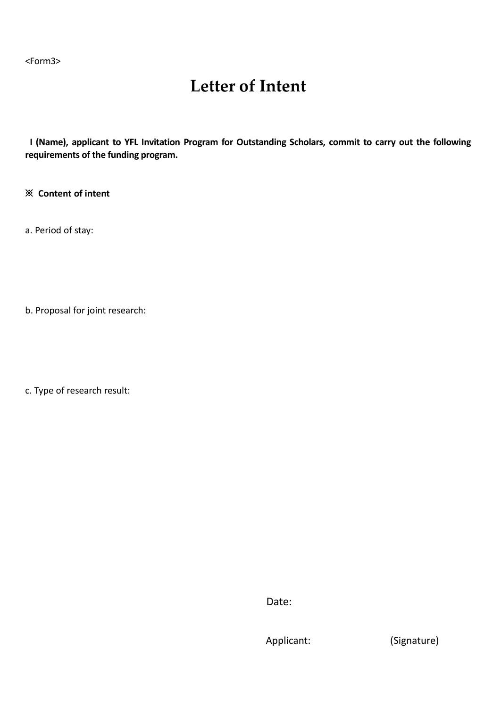<Form3>

# **Letter of Intent**

**I (Name), applicant to YFL Invitation Program for Outstanding Scholars, commit to carry out the following requirements of the funding program.**

**※ Content of intent** 

a. Period of stay:

b. Proposal for joint research:

c. Type of research result:

**Date:** The contract of the contract of the Date:

Applicant: (Signature)